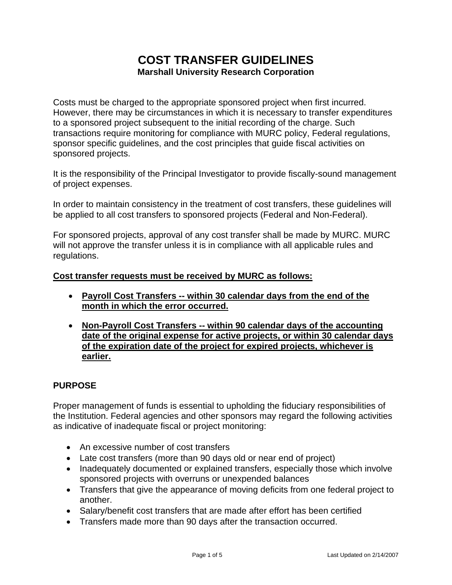# **COST TRANSFER GUIDELINES Marshall University Research Corporation**

Costs must be charged to the appropriate sponsored project when first incurred. However, there may be circumstances in which it is necessary to transfer expenditures to a sponsored project subsequent to the initial recording of the charge. Such transactions require monitoring for compliance with MURC policy, Federal regulations, sponsor specific guidelines, and the cost principles that guide fiscal activities on sponsored projects.

It is the responsibility of the Principal Investigator to provide fiscally-sound management of project expenses.

In order to maintain consistency in the treatment of cost transfers, these guidelines will be applied to all cost transfers to sponsored projects (Federal and Non-Federal).

For sponsored projects, approval of any cost transfer shall be made by MURC. MURC will not approve the transfer unless it is in compliance with all applicable rules and regulations.

#### **Cost transfer requests must be received by MURC as follows:**

- **Payroll Cost Transfers -- within 30 calendar days from the end of the month in which the error occurred.**
- **Non-Payroll Cost Transfers -- within 90 calendar days of the accounting date of the original expense for active projects, or within 30 calendar days of the expiration date of the project for expired projects, whichever is earlier.**

#### **PURPOSE**

Proper management of funds is essential to upholding the fiduciary responsibilities of the Institution. Federal agencies and other sponsors may regard the following activities as indicative of inadequate fiscal or project monitoring:

- An excessive number of cost transfers
- Late cost transfers (more than 90 days old or near end of project)
- Inadequately documented or explained transfers, especially those which involve sponsored projects with overruns or unexpended balances
- Transfers that give the appearance of moving deficits from one federal project to another.
- Salary/benefit cost transfers that are made after effort has been certified
- Transfers made more than 90 days after the transaction occurred.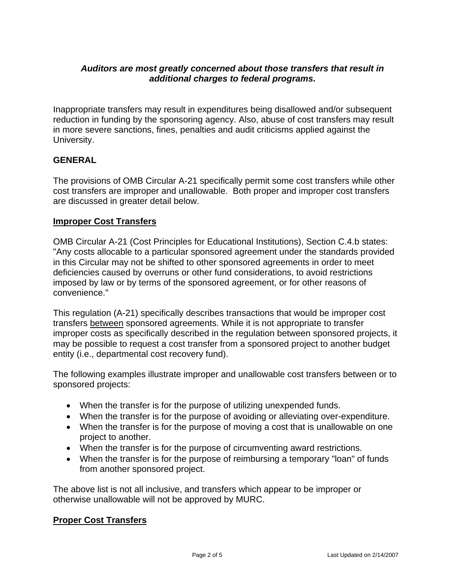## *Auditors are most greatly concerned about those transfers that result in additional charges to federal programs.*

Inappropriate transfers may result in expenditures being disallowed and/or subsequent reduction in funding by the sponsoring agency. Also, abuse of cost transfers may result in more severe sanctions, fines, penalties and audit criticisms applied against the University.

# **GENERAL**

The provisions of OMB Circular A-21 specifically permit some cost transfers while other cost transfers are improper and unallowable. Both proper and improper cost transfers are discussed in greater detail below.

#### **Improper Cost Transfers**

OMB Circular A-21 (Cost Principles for Educational Institutions), Section C.4.b states: "Any costs allocable to a particular sponsored agreement under the standards provided in this Circular may not be shifted to other sponsored agreements in order to meet deficiencies caused by overruns or other fund considerations, to avoid restrictions imposed by law or by terms of the sponsored agreement, or for other reasons of convenience."

This regulation (A-21) specifically describes transactions that would be improper cost transfers between sponsored agreements. While it is not appropriate to transfer improper costs as specifically described in the regulation between sponsored projects, it may be possible to request a cost transfer from a sponsored project to another budget entity (i.e., departmental cost recovery fund).

The following examples illustrate improper and unallowable cost transfers between or to sponsored projects:

- When the transfer is for the purpose of utilizing unexpended funds.
- When the transfer is for the purpose of avoiding or alleviating over-expenditure.
- When the transfer is for the purpose of moving a cost that is unallowable on one project to another.
- When the transfer is for the purpose of circumventing award restrictions.
- When the transfer is for the purpose of reimbursing a temporary "loan" of funds from another sponsored project.

The above list is not all inclusive, and transfers which appear to be improper or otherwise unallowable will not be approved by MURC.

#### **Proper Cost Transfers**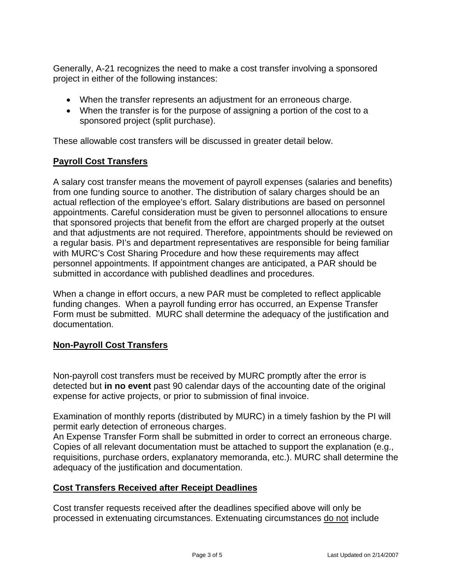Generally, A-21 recognizes the need to make a cost transfer involving a sponsored project in either of the following instances:

- When the transfer represents an adjustment for an erroneous charge.
- When the transfer is for the purpose of assigning a portion of the cost to a sponsored project (split purchase).

These allowable cost transfers will be discussed in greater detail below.

# **Payroll Cost Transfers**

A salary cost transfer means the movement of payroll expenses (salaries and benefits) from one funding source to another. The distribution of salary charges should be an actual reflection of the employee's effort. Salary distributions are based on personnel appointments. Careful consideration must be given to personnel allocations to ensure that sponsored projects that benefit from the effort are charged properly at the outset and that adjustments are not required. Therefore, appointments should be reviewed on a regular basis. PI's and department representatives are responsible for being familiar with MURC's Cost Sharing Procedure and how these requirements may affect personnel appointments. If appointment changes are anticipated, a PAR should be submitted in accordance with published deadlines and procedures.

When a change in effort occurs, a new PAR must be completed to reflect applicable funding changes. When a payroll funding error has occurred, an Expense Transfer Form must be submitted. MURC shall determine the adequacy of the justification and documentation.

# **Non-Payroll Cost Transfers**

Non-payroll cost transfers must be received by MURC promptly after the error is detected but **in no event** past 90 calendar days of the accounting date of the original expense for active projects, or prior to submission of final invoice.

Examination of monthly reports (distributed by MURC) in a timely fashion by the PI will permit early detection of erroneous charges.

An Expense Transfer Form shall be submitted in order to correct an erroneous charge. Copies of all relevant documentation must be attached to support the explanation (e.g., requisitions, purchase orders, explanatory memoranda, etc.). MURC shall determine the adequacy of the justification and documentation.

#### **Cost Transfers Received after Receipt Deadlines**

Cost transfer requests received after the deadlines specified above will only be processed in extenuating circumstances. Extenuating circumstances do not include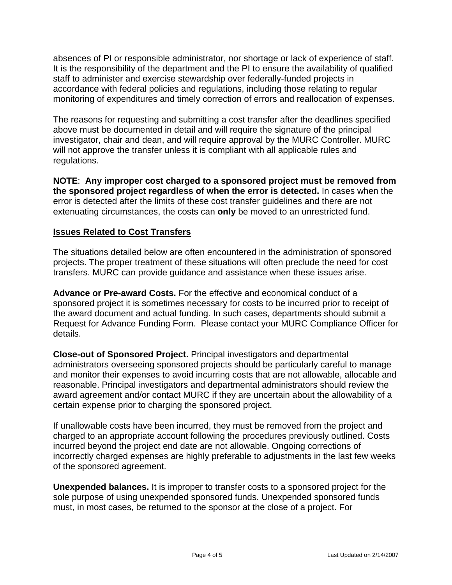absences of PI or responsible administrator, nor shortage or lack of experience of staff. It is the responsibility of the department and the PI to ensure the availability of qualified staff to administer and exercise stewardship over federally-funded projects in accordance with federal policies and regulations, including those relating to regular monitoring of expenditures and timely correction of errors and reallocation of expenses.

The reasons for requesting and submitting a cost transfer after the deadlines specified above must be documented in detail and will require the signature of the principal investigator, chair and dean, and will require approval by the MURC Controller. MURC will not approve the transfer unless it is compliant with all applicable rules and regulations.

**NOTE**: **Any improper cost charged to a sponsored project must be removed from the sponsored project regardless of when the error is detected.** In cases when the error is detected after the limits of these cost transfer guidelines and there are not extenuating circumstances, the costs can **only** be moved to an unrestricted fund.

## **Issues Related to Cost Transfers**

The situations detailed below are often encountered in the administration of sponsored projects. The proper treatment of these situations will often preclude the need for cost transfers. MURC can provide guidance and assistance when these issues arise.

**Advance or Pre-award Costs.** For the effective and economical conduct of a sponsored project it is sometimes necessary for costs to be incurred prior to receipt of the award document and actual funding. In such cases, departments should submit a Request for Advance Funding Form. Please contact your MURC Compliance Officer for details.

**Close-out of Sponsored Project.** Principal investigators and departmental administrators overseeing sponsored projects should be particularly careful to manage and monitor their expenses to avoid incurring costs that are not allowable, allocable and reasonable. Principal investigators and departmental administrators should review the award agreement and/or contact MURC if they are uncertain about the allowability of a certain expense prior to charging the sponsored project.

If unallowable costs have been incurred, they must be removed from the project and charged to an appropriate account following the procedures previously outlined. Costs incurred beyond the project end date are not allowable. Ongoing corrections of incorrectly charged expenses are highly preferable to adjustments in the last few weeks of the sponsored agreement.

**Unexpended balances.** It is improper to transfer costs to a sponsored project for the sole purpose of using unexpended sponsored funds. Unexpended sponsored funds must, in most cases, be returned to the sponsor at the close of a project. For